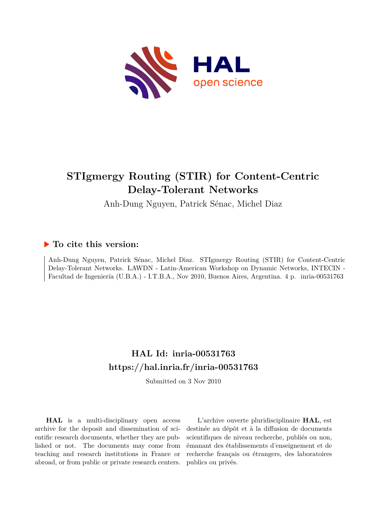

## **STIgmergy Routing (STIR) for Content-Centric Delay-Tolerant Networks**

Anh-Dung Nguyen, Patrick Sénac, Michel Diaz

### **To cite this version:**

Anh-Dung Nguyen, Patrick Sénac, Michel Diaz. STIgmergy Routing (STIR) for Content-Centric Delay-Tolerant Networks. LAWDN - Latin-American Workshop on Dynamic Networks, INTECIN - Facultad de Ingeniería (U.B.A.) - I.T.B.A., Nov 2010, Buenos Aires, Argentina. 4 p. inria-00531763

## **HAL Id: inria-00531763 <https://hal.inria.fr/inria-00531763>**

Submitted on 3 Nov 2010

**HAL** is a multi-disciplinary open access archive for the deposit and dissemination of scientific research documents, whether they are published or not. The documents may come from teaching and research institutions in France or abroad, or from public or private research centers.

L'archive ouverte pluridisciplinaire **HAL**, est destinée au dépôt et à la diffusion de documents scientifiques de niveau recherche, publiés ou non, émanant des établissements d'enseignement et de recherche français ou étrangers, des laboratoires publics ou privés.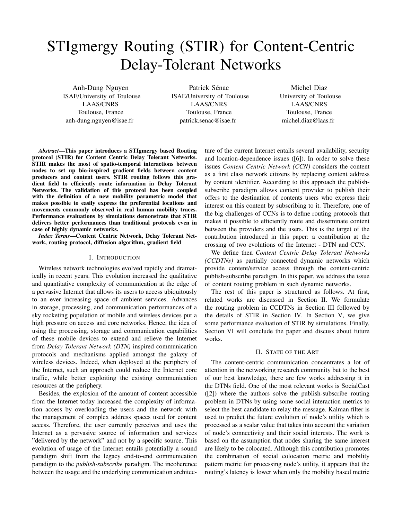# STIgmergy Routing (STIR) for Content-Centric Delay-Tolerant Networks

Anh-Dung Nguyen ISAE/University of Toulouse LAAS/CNRS Toulouse, France anh-dung.nguyen@isae.fr

Patrick Sénac ISAE/University of Toulouse LAAS/CNRS Toulouse, France patrick.senac@isae.fr

Michel Diaz University of Toulouse LAAS/CNRS Toulouse, France michel.diaz@laas.fr

*Abstract*—This paper introduces a STIgmergy based Routing protocol (STIR) for Content Centric Delay Tolerant Networks. STIR makes the most of spatio-temporal interactions between nodes to set up bio-inspired gradient fields between content producers and content users. STIR routing follows this gradient field to efficiently route information in Delay Tolerant Networks. The validation of this protocol has been coupled with the definition of a new mobility parametric model that makes possible to easily express the preferential locations and movements commonly observed in real human mobility traces. Performance evaluations by simulations demonstrate that STIR delivers better performances than traditional protocols even in case of highly dynamic networks.

*Index Terms*—Content Centric Network, Delay Tolerant Network, routing protocol, diffusion algorithm, gradient field

#### I. INTRODUCTION

Wireless network technologies evolved rapidly and dramatically in recent years. This evolution increased the qualitative and quantitative complexity of communication at the edge of a pervasive Internet that allows its users to access ubiquitously to an ever increasing space of ambient services. Advances in storage, processing, and communication performances of a sky rocketing population of mobile and wireless devices put a high pressure on access and core networks. Hence, the idea of using the processing, storage and communication capabilities of these mobile devices to extend and relieve the Internet from *Delay Tolerant Network (DTN)* inspired communication protocols and mechanisms applied amongst the galaxy of wireless devices. Indeed, when deployed at the periphery of the Internet, such an approach could reduce the Internet core traffic, while better exploiting the existing communication resources at the periphery.

Besides, the explosion of the amount of content accessible from the Internet today increased the complexity of information access by overloading the users and the network with the management of complex address spaces used for content access. Therefore, the user currently perceives and uses the Internet as a pervasive source of information and services "delivered by the network" and not by a specific source. This evolution of usage of the Internet entails potentially a sound paradigm shift from the legacy end-to-end communication paradigm to the *publish-subscribe* paradigm. The incoherence between the usage and the underlying communication architecture of the current Internet entails several availability, security and location-dependence issues ([6]). In order to solve these issues *Content Centric Network (CCN)* considers the content as a first class network citizens by replacing content address by content identifier. According to this approach the publishsubscribe paradigm allows content provider to publish their offers to the destination of contents users who express their interest on this content by subscribing to it. Therefore, one of the big challenges of CCNs is to define routing protocols that makes it possible to efficiently route and disseminate content between the providers and the users. This is the target of the contribution introduced in this paper: a contribution at the crossing of two evolutions of the Internet - DTN and CCN.

We define then *Content Centric Delay Tolerant Networks (CCDTNs)* as partially connected dynamic networks which provide content/service access through the content-centric publish-subscribe paradigm. In this paper, we address the issue of content routing problem in such dynamic networks.

The rest of this paper is structured as follows. At first, related works are discussed in Section II. We formulate the routing problem in CCDTNs in Section III followed by the details of STIR in Section IV. In Section V, we give some performance evaluation of STIR by simulations. Finally, Section VI will conclude the paper and discuss about future works.

#### II. STATE OF THE ART

The content-centric communication concentrates a lot of attention in the networking research community but to the best of our best knowledge, there are few works addressing it in the DTNs field. One of the most relevant works is SocialCast ([2]) where the authors solve the publish-subscribe routing problem in DTNs by using some social interaction metrics to select the best candidate to relay the message. Kalman filter is used to predict the future evolution of node's utility which is processed as a scalar value that takes into account the variation of node's connectivity and their social interests. The work is based on the assumption that nodes sharing the same interest are likely to be colocated. Although this contribution promotes the combination of social colocation metric and mobility pattern metric for processing node's utility, it appears that the routing's latency is lower when only the mobility based metric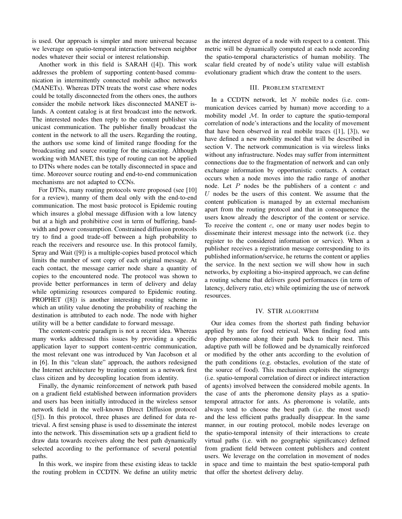is used. Our approach is simpler and more universal because we leverage on spatio-temporal interaction between neighbor nodes whatever their social or interest relationship.

Another work in this field is SARAH ([4]). This work addresses the problem of supporting content-based communication in intermittently connected mobile adhoc networks (MANETs). Whereas DTN treats the worst case where nodes could be totally disconnected from the others ones, the authors consider the mobile network likes disconnected MANET islands. A content catalog is at first broadcast into the network. The interested nodes then reply to the content publisher via unicast communication. The publisher finally broadcast the content in the network to all the users. Regarding the routing, the authors use some kind of limited range flooding for the broadcasting and source routing for the unicasting. Although working with MANET, this type of routing can not be applied to DTNs where nodes can be totally disconnected in space and time. Moreover source routing and end-to-end communication mechanisms are not adapted to CCNs.

For DTNs, many routing protocols were proposed (see [10] for a review), manny of them deal only with the end-to-end communication. The most basic protocol is Epidemic routing which insures a global message diffusion with a low latency but at a high and prohibitive cost in term of buffering, bandwidth and power consumption. Constrained diffusion protocols try to find a good trade-off between a high probability to reach the receivers and resource use. In this protocol family, Spray and Wait ([9]) is a multiple-copies based protocol which limits the number of sent copy of each original message. At each contact, the message carrier node share a quantity of copies to the encountered node. The protocol was shown to provide better performances in term of delivery and delay while optimizing resources compared to Epidemic routing. PROPHET ([8]) is another interesting routing scheme in which an utility value denoting the probability of reaching the destination is attributed to each node. The node with higher utility will be a better candidate to forward message.

The content-centric paradigm is not a recent idea. Whereas many works addressed this issues by providing a specific application layer to support content-centric communication, the most relevant one was introduced by Van Jacobson et al in [6]. In this "clean slate" approach, the authors redesigned the Internet architecture by treating content as a network first class citizen and by decoupling location from identity.

Finally, the dynamic reinforcement of network path based on a gradient field established between information providers and users has been initially introduced in the wireless sensor network field in the well-known Direct Diffusion protocol ([5]). In this protocol, three phases are defined for data retrieval. A first sensing phase is used to disseminate the interest into the network. This dissemination sets up a gradient field to draw data towards receivers along the best path dynamically selected according to the performance of several potential paths.

In this work, we inspire from these existing ideas to tackle the routing problem in CCDTN. We define an utility metric as the interest degree of a node with respect to a content. This metric will be dynamically computed at each node according the spatio-temporal characteristics of human mobility. The scalar field created by of node's utility value will establish evolutionary gradient which draw the content to the users.

#### III. PROBLEM STATEMENT

In a CCDTN network, let  $N$  mobile nodes (i.e. communication devices carried by human) move according to a mobility model  $M$ . In order to capture the spatio-temporal correlation of node's interactions and the locality of movement that have been observed in real mobile traces ([1], [3]), we have defined a new mobility model that will be described in section V. The network communication is via wireless links without any infrastructure. Nodes may suffer from intermittent connections due to the fragmentation of network and can only exchange information by opportunistic contacts. A contact occurs when a node moves into the radio range of another node. Let  $P$  nodes be the publishers of a content  $c$  and  $U$  nodes be the users of this content. We assume that the content publication is managed by an external mechanism apart from the routing protocol and that in consequence the users know already the descriptor of the content or service. To receive the content  $c$ , one or many user nodes begin to disseminate their interest message into the network (i.e. they register to the considered information or service). When a publisher receives a registration message corresponding to its published information/service, he returns the content or applies the service. In the next section we will show how in such networks, by exploiting a bio-inspired approach, we can define a routing scheme that delivers good performances (in term of latency, delivery ratio, etc) while optimizing the use of network resources.

#### IV. STIR ALGORITHM

Our idea comes from the shortest path finding behavior applied by ants for food retrieval. When finding food ants drop pheromone along their path back to their nest. This adaptive path will be followed and be dynamically reinforced or modified by the other ants according to the evolution of the path conditions (e.g. obstacles, evolution of the state of the source of food). This mechanism exploits the stigmergy (i.e. spatio-temporal correlation of direct or indirect interaction of agents) involved between the considered mobile agents. In the case of ants the pheromone density plays as a spatiotemporal attractor for ants. As pheromone is volatile, ants always tend to choose the best path (i.e. the most used) and the less efficient paths gradually disappear. In the same manner, in our routing protocol, mobile nodes leverage on the spatio-temporal intensity of their interactions to create virtual paths (i.e. with no geographic significance) defined from gradient field between content publishers and content users. We leverage on the correlation in movement of nodes in space and time to maintain the best spatio-temporal path that offer the shortest delivery delay.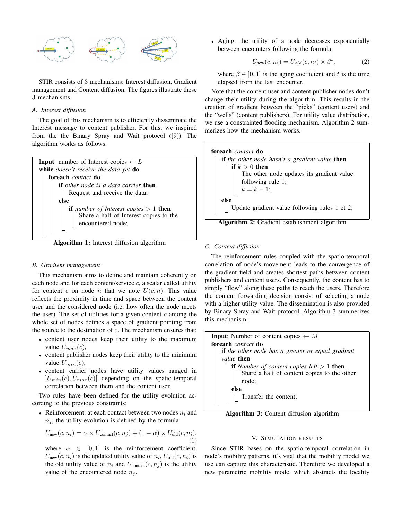

STIR consists of 3 mechanisms: Interest diffusion, Gradient management and Content diffusion. The figures illustrate these 3 mechanisms.

#### *A. Interest diffusion*

The goal of this mechanism is to efficiently disseminate the Interest message to content publisher. For this, we inspired from the the Binary Spray and Wait protocol ([9]). The algorithm works as follows.



Algorithm 1: Interest diffusion algorithm

#### *B. Gradient management*

This mechanism aims to define and maintain coherently on each node and for each content/service  $c$ , a scalar called utility for content c on node n that we note  $U(c, n)$ . This value reflects the proximity in time and space between the content user and the considered node (i.e. how often the node meets the user). The set of utilities for a given content  $c$  among the whole set of nodes defines a space of gradient pointing from the source to the destination of  $c$ . The mechanism ensures that:

- content user nodes keep their utility to the maximum value  $U_{max}(c)$ ,
- content publisher nodes keep their utility to the minimum value  $U_{min}(c)$ ,
- content carrier nodes have utility values ranged in  $|U_{min}(c), U_{max}(c)|$  depending on the spatio-temporal correlation between them and the content user.

Two rules have been defined for the utility evolution according to the previous constraints:

• Reinforcement: at each contact between two nodes  $n_i$  and  $n_i$ , the utility evolution is defined by the formula

$$
U_{\text{new}}(c, n_i) = \alpha \times U_{\text{contact}}(c, n_j) + (1 - \alpha) \times U_{\text{old}}(c, n_i),
$$
\n(1)

where  $\alpha \in [0, 1]$  is the reinforcement coefficient,  $U_{\text{new}}(c, n_i)$  is the updated utility value of  $n_i, U_{\text{old}}(c, n_i)$  is the old utility value of  $n_i$  and  $U_{\text{contact}}(c, n_j)$  is the utility value of the encountered node  $n_i$ .

• Aging: the utility of a node decreases exponentially between encounters following the formula

$$
U_{\text{new}}(c, n_i) = U_{old}(c, n_i) \times \beta^t,\tag{2}
$$

where  $\beta \in [0, 1]$  is the aging coefficient and t is the time elapsed from the last encounter.

Note that the content user and content publisher nodes don't change their utility during the algorithm. This results in the creation of gradient between the "picks" (content users) and the "wells" (content publishers). For utility value distribution, we use a constrainted flooding mechanism. Algorithm 2 summerizes how the mechanism works.





#### *C. Content diffusion*

The reinforcement rules coupled with the spatio-temporal correlation of node's movement leads to the convergence of the gradient field and creates shortest paths between content publishers and content users. Consequently, the content has to simply "flow" along these paths to reach the users. Therefore the content forwarding decision consist of selecting a node with a higher utility value. The dissemination is also provided by Binary Spray and Wait protocol. Algorithm 3 summerizes this mechanism.



Algorithm 3: Content diffusion algorithm

#### V. SIMULATION RESULTS

Since STIR bases on the spatio-temporal correlation in node's mobility patterns, it's vital that the mobility model we use can capture this characteristic. Therefore we developed a new parametric mobility model which abstracts the locality